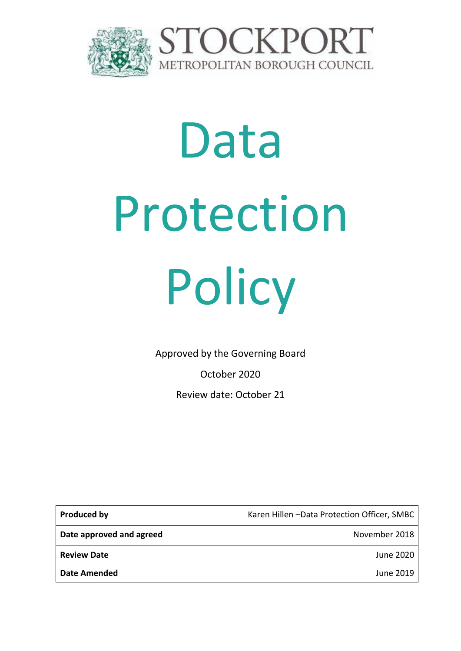

# Data Protection Policy

Approved by the Governing Board

October 2020

Review date: October 21

| <b>Produced by</b>       | Karen Hillen - Data Protection Officer, SMBC |
|--------------------------|----------------------------------------------|
| Date approved and agreed | November 2018                                |
| <b>Review Date</b>       | June 2020                                    |
| <b>Date Amended</b>      | June 2019                                    |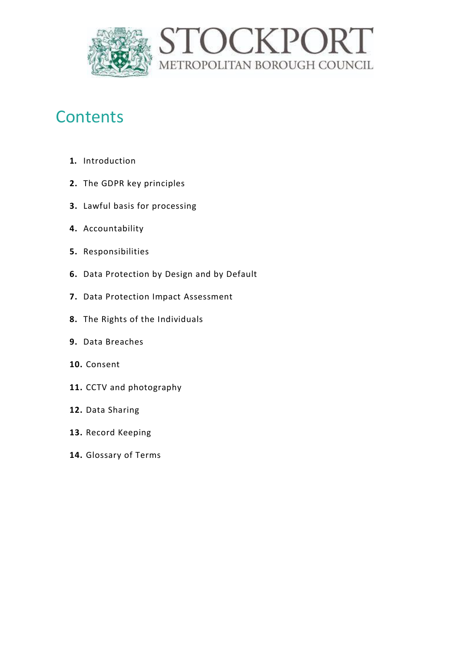

## **Contents**

- **1.** Introduction
- **2.** [The GDPR key principles](#page-3-0)
- **3.** [Lawful basis for processing](#page-4-0)
- **4.** Accountability
- **5.** Responsibilities
- **6.** [Data Protection by Design and by Default](#page-7-0)
- **7.** [Data Protection Impact Assessment](#page-8-0)
- **8.** [The Rights of the Individuals](#page-8-1)
- **9.** [Data Breaches](#page-11-0)
- **10.** [Consent](#page-12-0)
- **11.** [CCTV and photography](#page-12-1)
- **12.** [Data Sharing](#page-13-0)
- **13.** [Record](#page-13-1) Keeping
- **14.** Glossary of Terms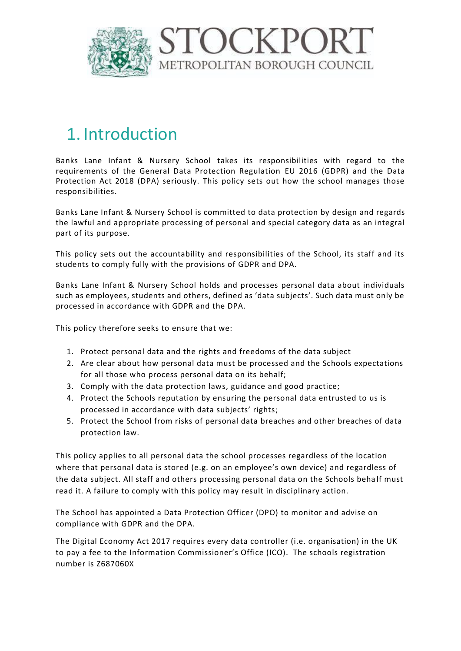

## 1. Introduction

Banks Lane Infant & Nursery School takes its responsibilities with regard to the requirements of the General Data Protection Regulation EU 2016 (GDPR) and the Data Protection Act 2018 (DPA) seriously. This policy sets out how the school manages those responsibilities.

Banks Lane Infant & Nursery School is committed to data protection by design and regards the lawful and appropriate processing of personal and special category data as an integral part of its purpose.

This policy sets out the accountability and responsibilities of the School, its staff and its students to comply fully with the provisions of GDPR and DPA.

Banks Lane Infant & Nursery School holds and processes personal data about individuals such as employees, students and others, defined as 'data subjects'. Such data must only be processed in accordance with GDPR and the DPA.

This policy therefore seeks to ensure that we:

- 1. Protect personal data and the rights and freedoms of the data subject
- 2. Are clear about how personal data must be processed and the Schools expectations for all those who process personal data on its behalf;
- 3. Comply with the data protection laws, guidance and good practice;
- 4. Protect the Schools reputation by ensuring the personal data entrusted to us is processed in accordance with data subjects' rights;
- 5. Protect the School from risks of personal data breaches and other breaches of data protection law.

This policy applies to all personal data the school processes regardless of the location where that personal data is stored (e.g. on an employee's own device) and regardless of the data subject. All staff and others processing personal data on the Schools beha lf must read it. A failure to comply with this policy may result in disciplinary action.

The School has appointed a Data Protection Officer (DPO) to monitor and advise on compliance with GDPR and the DPA.

The Digital Economy Act 2017 requires every data controller (i.e. organisation) in the UK to pay a fee to the Information Commissioner's Office (ICO). The schools registration number is Z687060X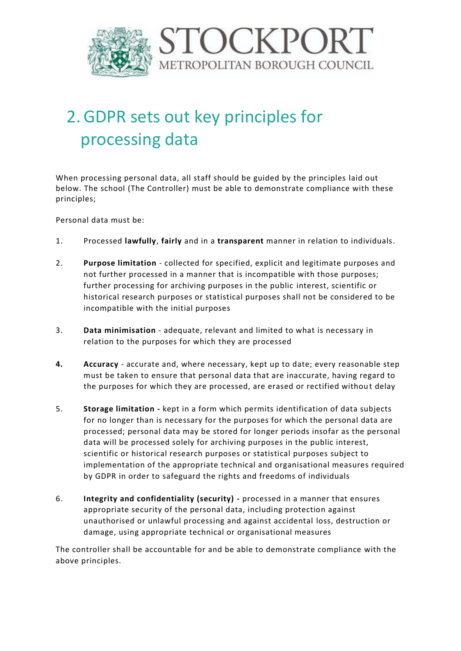

# <span id="page-3-0"></span>2.GDPR sets out key principles for processing data

When processing personal data, all staff should be guided by the principles laid out below. The school (The Controller) must be able to demonstrate compliance with these principles;

Personal data must be:

- 1. Processed **lawfully**, **fairly** and in a **transparent** manner in relation to individuals.
- 2. **Purpose limitation** collected for specified, explicit and legitimate purposes and not further processed in a manner that is incompatible with those purposes; further processing for archiving purposes in the public interest, scientific or historical research purposes or statistical purposes shall not be considered to be incompatible with the initial purposes
- 3. **Data minimisation**  adequate, relevant and limited to what is necessary in relation to the purposes for which they are processed
- **4. Accuracy** accurate and, where necessary, kept up to date; every reasonable step must be taken to ensure that personal data that are inaccurate, having regard to the purposes for which they are processed, are erased or rectified without delay
- 5. **Storage limitation -** kept in a form which permits identification of data subjects for no longer than is necessary for the purposes for which the personal data are processed; personal data may be stored for longer periods insofar as the personal data will be processed solely for archiving purposes in the public interest, scientific or historical research purposes or statistical purposes subject to implementation of the appropriate technical and organisational measures required by GDPR in order to safeguard the rights and freedoms of individuals
- 6. **Integrity and confidentiality (security) -** processed in a manner that ensures appropriate security of the personal data, including protection against unauthorised or unlawful processing and against accidental loss, destruction or damage, using appropriate technical or organisational measures

The controller shall be accountable for and be able to demonstrate compliance with the above principles.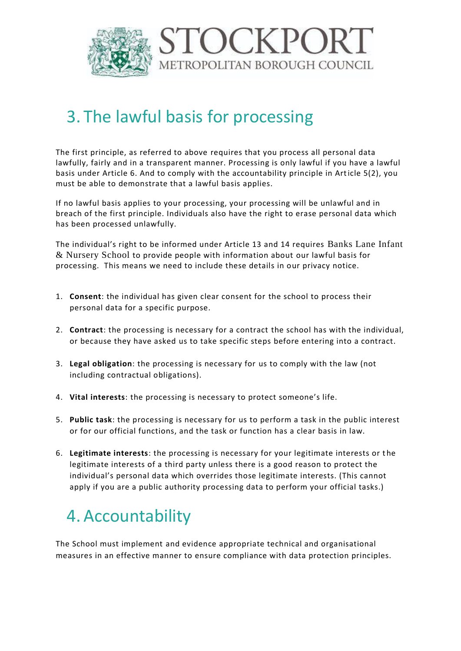

## <span id="page-4-0"></span>3. The lawful basis for processing

The first principle, as referred to above requires that you process all personal data lawfully, fairly and in a transparent manner. Processing is only lawful if you have a lawful basis under Article 6. And to comply with the accountability principle in Article 5(2), you must be able to demonstrate that a lawful basis applies.

If no lawful basis applies to your processing, your processing will be unlawful and in breach of the first principle. Individuals also have the right to erase personal data which has been processed unlawfully.

The individual's right to be informed under Article 13 and 14 requires Banks Lane Infant & Nursery School to provide people with information about our lawful basis for processing. This means we need to include these details in our privacy notice.

- 1. **Consent**: the individual has given clear consent for the school to process their personal data for a specific purpose.
- 2. **Contract**: the processing is necessary for a contract the school has with the individual, or because they have asked us to take specific steps before entering into a contract.
- 3. **Legal obligation**: the processing is necessary for us to comply with the law (not including contractual obligations).
- 4. **Vital interests**: the processing is necessary to protect someone's life.
- 5. **Public task**: the processing is necessary for us to perform a task in the public interest or for our official functions, and the task or function has a clear basis in law.
- 6. **Legitimate interests**: the processing is necessary for your legitimate interests or the legitimate interests of a third party unless there is a good reason to protect the individual's personal data which overrides those legitimate interests. (This cannot apply if you are a public authority processing data to perform your official tasks.)

# 4. Accountability

The School must implement and evidence appropriate technical and organisational measures in an effective manner to ensure compliance with data protection principles.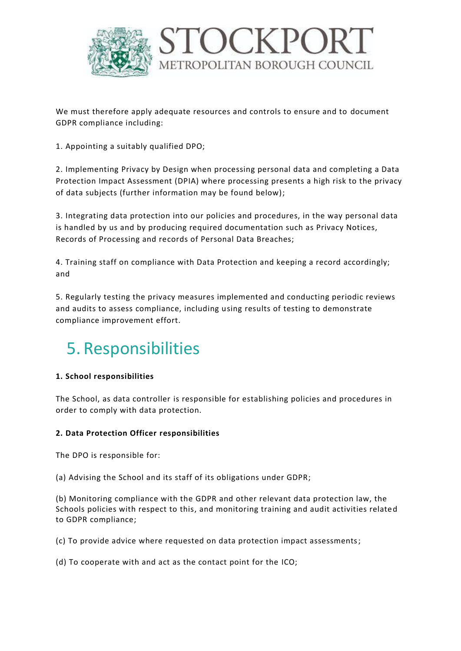

We must therefore apply adequate resources and controls to ensure and to document GDPR compliance including:

1. Appointing a suitably qualified DPO;

2. Implementing Privacy by Design when processing personal data and completing a Data Protection Impact Assessment (DPIA) where processing presents a high risk to the privacy of data subjects (further information may be found below);

3. Integrating data protection into our policies and procedures, in the way personal data is handled by us and by producing required documentation such as Privacy Notices, Records of Processing and records of Personal Data Breaches;

4. Training staff on compliance with Data Protection and keeping a record accordingly; and

5. Regularly testing the privacy measures implemented and conducting periodic reviews and audits to assess compliance, including using results of testing to demonstrate compliance improvement effort.

## 5. Responsibilities

#### **1. School responsibilities**

The School, as data controller is responsible for establishing policies and procedures in order to comply with data protection.

#### **2. Data Protection Officer responsibilities**

The DPO is responsible for:

(a) Advising the School and its staff of its obligations under GDPR;

(b) Monitoring compliance with the GDPR and other relevant data protection law, the Schools policies with respect to this, and monitoring training and audit activities related to GDPR compliance;

(c) To provide advice where requested on data protection impact assessments;

(d) To cooperate with and act as the contact point for the ICO;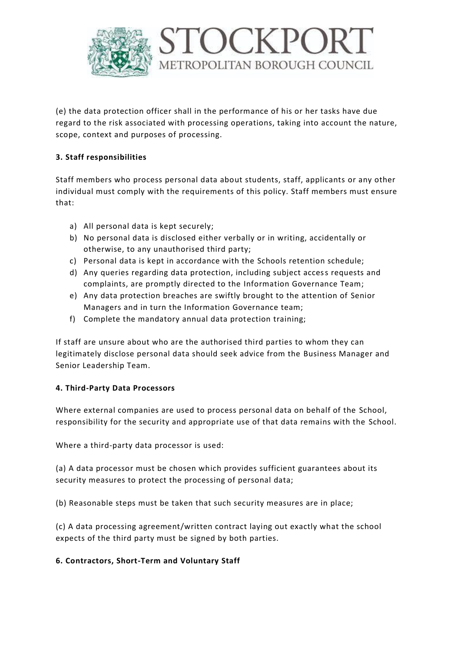

(e) the data protection officer shall in the performance of his or her tasks have due regard to the risk associated with processing operations, taking into account the nature, scope, context and purposes of processing.

#### **3. Staff responsibilities**

Staff members who process personal data about students, staff, applicants or any other individual must comply with the requirements of this policy. Staff members must ensure that:

- a) All personal data is kept securely;
- b) No personal data is disclosed either verbally or in writing, accidentally or otherwise, to any unauthorised third party;
- c) Personal data is kept in accordance with the Schools retention schedule;
- d) Any queries regarding data protection, including subject access requests and complaints, are promptly directed to the Information Governance Team;
- e) Any data protection breaches are swiftly brought to the attention of Senior Managers and in turn the Information Governance team;
- f) Complete the mandatory annual data protection training;

If staff are unsure about who are the authorised third parties to whom they can legitimately disclose personal data should seek advice from the Business Manager and Senior Leadership Team.

#### **4. Third-Party Data Processors**

Where external companies are used to process personal data on behalf of the School, responsibility for the security and appropriate use of that data remains with the School.

Where a third-party data processor is used:

(a) A data processor must be chosen which provides sufficient guarantees about its security measures to protect the processing of personal data;

(b) Reasonable steps must be taken that such security measures are in place;

(c) A data processing agreement/written contract laying out exactly what the school expects of the third party must be signed by both parties.

#### **6. Contractors, Short-Term and Voluntary Staff**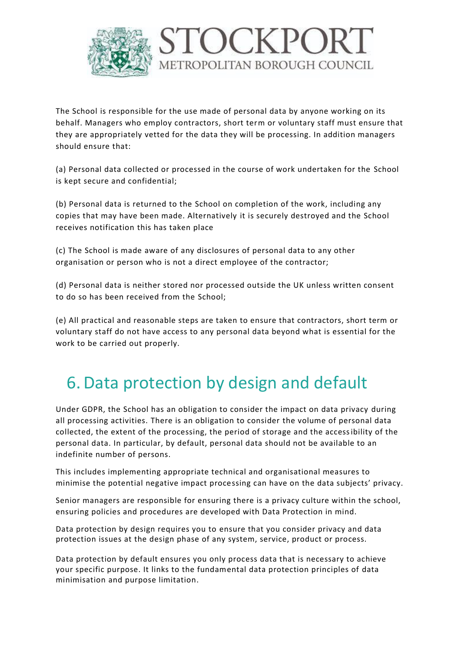

The School is responsible for the use made of personal data by anyone working on its behalf. Managers who employ contractors, short term or voluntary staff must ensure that they are appropriately vetted for the data they will be processing. In addition managers should ensure that:

(a) Personal data collected or processed in the course of work undertaken for the School is kept secure and confidential;

(b) Personal data is returned to the School on completion of the work, including any copies that may have been made. Alternatively it is securely destroyed and the School receives notification this has taken place

(c) The School is made aware of any disclosures of personal data to any other organisation or person who is not a direct employee of the contractor;

(d) Personal data is neither stored nor processed outside the UK unless written consent to do so has been received from the School;

(e) All practical and reasonable steps are taken to ensure that contractors, short term or voluntary staff do not have access to any personal data beyond what is essential for the work to be carried out properly.

## <span id="page-7-0"></span>6.Data protection by design and default

Under GDPR, the School has an obligation to consider the impact on data privacy during all processing activities. There is an obligation to consider the volume of personal data collected, the extent of the processing, the period of storage and the accessibility of the personal data. In particular, by default, personal data should not be available to an indefinite number of persons.

This includes implementing appropriate technical and organisational measures to minimise the potential negative impact processing can have on the data subjects' privacy.

Senior managers are responsible for ensuring there is a privacy culture within the school, ensuring policies and procedures are developed with Data Protection in mind.

Data protection by design requires you to ensure that you consider privacy and data protection issues at the design phase of any system, service, product or process.

Data protection by default ensures you only process data that is necessary to achieve your specific purpose. It links to the fundamental data protection principles of [data](https://ico.org.uk/for-organisations/guide-to-the-general-data-protection-regulation-gdpr/principles/data-minimisation/)  [minimisation](https://ico.org.uk/for-organisations/guide-to-the-general-data-protection-regulation-gdpr/principles/data-minimisation/) and [purpose limitation.](https://ico.org.uk/for-organisations/guide-to-the-general-data-protection-regulation-gdpr/principles/purpose-limitation/)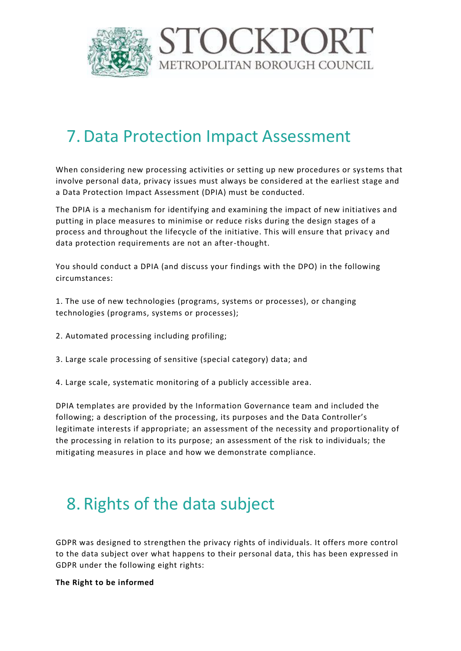

## <span id="page-8-0"></span>7.Data Protection Impact Assessment

When considering new processing activities or setting up new procedures or systems that involve personal data, privacy issues must always be considered at the earliest stage and a Data Protection Impact Assessment (DPIA) must be conducted.

The DPIA is a mechanism for identifying and examining the impact of new initiatives and putting in place measures to minimise or reduce risks during the design stages of a process and throughout the lifecycle of the initiative. This will ensure that privacy and data protection requirements are not an after-thought.

You should conduct a DPIA (and discuss your findings with the DPO) in the following circumstances:

1. The use of new technologies (programs, systems or processes), or changing technologies (programs, systems or processes);

- 2. Automated processing including profiling;
- 3. Large scale processing of sensitive (special category) data; and
- 4. Large scale, systematic monitoring of a publicly accessible area.

DPIA templates are provided by the Information Governance team and included the following; a description of the processing, its purposes and the Data Controller's legitimate interests if appropriate; an assessment of the necessity and proportionality of the processing in relation to its purpose; an assessment of the risk to individuals; the mitigating measures in place and how we demonstrate compliance.

### <span id="page-8-1"></span>8. Rights of the data subject

GDPR was designed to strengthen the privacy rights of individuals. It offers more control to the data subject over what happens to their personal data, this has been expressed in GDPR under the following eight rights:

#### **The Right to be informed**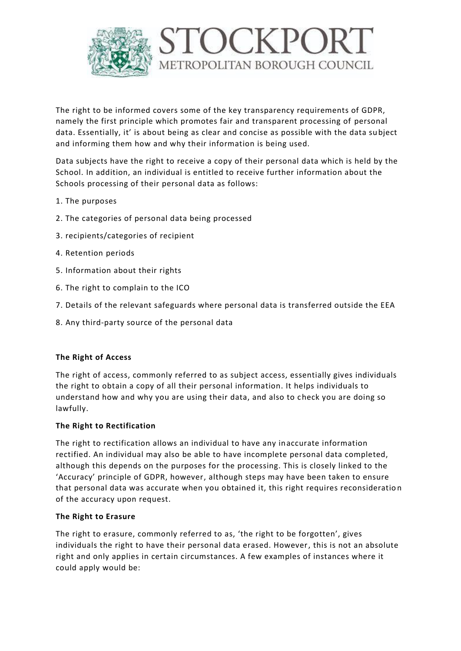

The right to be informed covers some of the key transparency requirements of GDPR, namely the first principle which promotes fair and transparent processing of personal data. Essentially, it' is about being as clear and concise as possible with the data subject and informing them how and why their information is being used.

Data subjects have the right to receive a copy of their personal data which is held by the School. In addition, an individual is entitled to receive further information about the Schools processing of their personal data as follows:

- 1. The purposes
- 2. The categories of personal data being processed
- 3. recipients/categories of recipient
- 4. Retention periods
- 5. Information about their rights
- 6. The right to complain to the ICO
- 7. Details of the relevant safeguards where personal data is transferred outside the EEA
- 8. Any third-party source of the personal data

#### **The Right of Access**

The right of access, commonly referred to as subject access, essentially gives individuals the right to obtain a copy of all their personal information. It helps individuals to understand how and why you are using their data, and also to check you are doing so lawfully.

#### **The Right to Rectification**

The right to rectification allows an individual to have any inaccurate information rectified. An individual may also be able to have incomplete personal data completed, although this depends on the purposes for the processing. This is closely linked to the 'Accuracy' principle of GDPR, however, although steps may have been taken to ensure that personal data was accurate when you obtained it, this right requires reconsideratio n of the accuracy upon request.

#### **The Right to Erasure**

The right to erasure, commonly referred to as, 'the right to be forgotten', gives individuals the right to have their personal data erased. However, this is not an absolute right and only applies in certain circumstances. A few examples of instances where it could apply would be: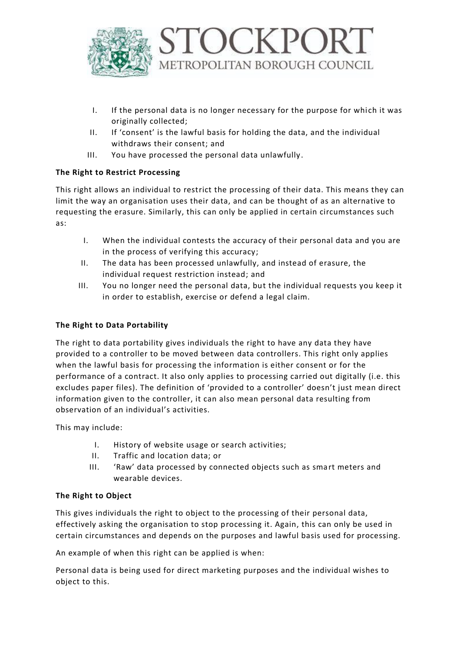

- I. If the personal data is no longer necessary for the purpose for which it was originally collected;
- II. If 'consent' is the lawful basis for holding the data, and the individual withdraws their consent; and
- III. You have processed the personal data unlawfully.

#### **The Right to Restrict Processing**

This right allows an individual to restrict the processing of their data. This means they can limit the way an organisation uses their data, and can be thought of as an alternative to requesting the erasure. Similarly, this can only be applied in certain circumstances such as:

- I. When the individual contests the accuracy of their personal data and you are in the process of verifying this accuracy;
- II. The data has been processed unlawfully, and instead of erasure, the individual request restriction instead; and
- III. You no longer need the personal data, but the individual requests you keep it in order to establish, exercise or defend a legal claim.

#### **The Right to Data Portability**

The right to data portability gives individuals the right to have any data they have provided to a controller to be moved between data controllers. This right only applies when the lawful basis for processing the information is either consent or for the performance of a contract. It also only applies to processing carried out digitally (i.e. this excludes paper files). The definition of 'provided to a controller' doesn't just mean direct information given to the controller, it can also mean personal data resulting from observation of an individual's activities.

This may include:

- I. History of website usage or search activities;
- II. Traffic and location data; or
- III. 'Raw' data processed by connected objects such as smart meters and wearable devices.

#### **The Right to Object**

This gives individuals the right to object to the processing of their personal data, effectively asking the organisation to stop processing it. Again, this can only be used in certain circumstances and depends on the purposes and lawful basis used for processing.

An example of when this right can be applied is when:

Personal data is being used for direct marketing purposes and the individual wishes to object to this.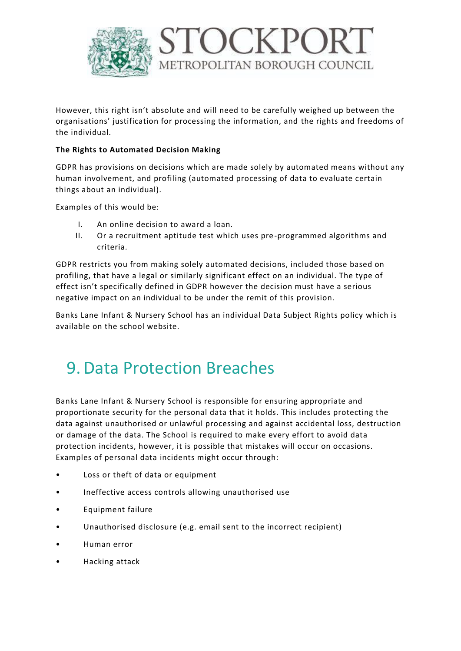

However, this right isn't absolute and will need to be carefully weighed up between the organisations' justification for processing the information, and the rights and freedoms of the individual.

#### **The Rights to Automated Decision Making**

GDPR has provisions on decisions which are made solely by automated means without any human involvement, and profiling (automated processing of data to evaluate certain things about an individual).

Examples of this would be:

- I. An online decision to award a loan.
- II. Or a recruitment aptitude test which uses pre-programmed algorithms and criteria.

GDPR restricts you from making solely automated decisions, included those based on profiling, that have a legal or similarly significant effect on an individual. The type of effect isn't specifically defined in GDPR however the decision must have a serious negative impact on an individual to be under the remit of this provision.

Banks Lane Infant & Nursery School has an individual Data Subject Rights policy which is available on the school website.

## <span id="page-11-0"></span>9.Data Protection Breaches

Banks Lane Infant & Nursery School is responsible for ensuring appropriate and proportionate security for the personal data that it holds. This includes protecting the data against unauthorised or unlawful processing and against accidental loss, destruction or damage of the data. The School is required to make every effort to avoid data protection incidents, however, it is possible that mistakes will occur on occasions. Examples of personal data incidents might occur through:

- Loss or theft of data or equipment
- Ineffective access controls allowing unauthorised use
- Equipment failure
- Unauthorised disclosure (e.g. email sent to the incorrect recipient)
- Human error
- Hacking attack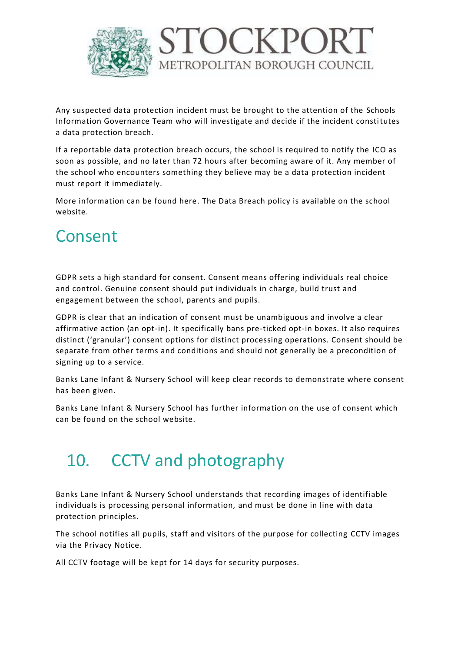

Any suspected data protection incident must be brought to the attention of the Schools Information Governance Team who will investigate and decide if the incident constitutes a data protection breach.

If a reportable data protection breach occurs, the school is required to notify the ICO as soon as possible, and no later than 72 hours after becoming aware of it. Any member of the school who encounters something they believe may be a data protection incident must report it immediately.

<span id="page-12-0"></span>More information can be found here. The Data Breach policy is available on the school website.

## Consent

GDPR sets a high standard for consent. Consent means offering individuals real choice and control. Genuine consent should put individuals in charge, build trust and engagement between the school, parents and pupils.

GDPR is clear that an indication of consent must be unambiguous and involve a clear affirmative action (an opt-in). It specifically bans pre-ticked opt-in boxes. It also requires distinct ('granular') consent options for distinct processing operations. Consent should be separate from other terms and conditions and should not generally be a precondition of signing up to a service.

Banks Lane Infant & Nursery School will keep clear records to demonstrate where consent has been given.

Banks Lane Infant & Nursery School has further information on the use of consent which can be found on the school website.

## <span id="page-12-1"></span>10. CCTV and photography

Banks Lane Infant & Nursery School understands that recording images of identifiable individuals is processing personal information, and must be done in line with data protection principles.

The school notifies all pupils, staff and visitors of the purpose for collecting CCTV images via the Privacy Notice.

All CCTV footage will be kept for 14 days for security purposes.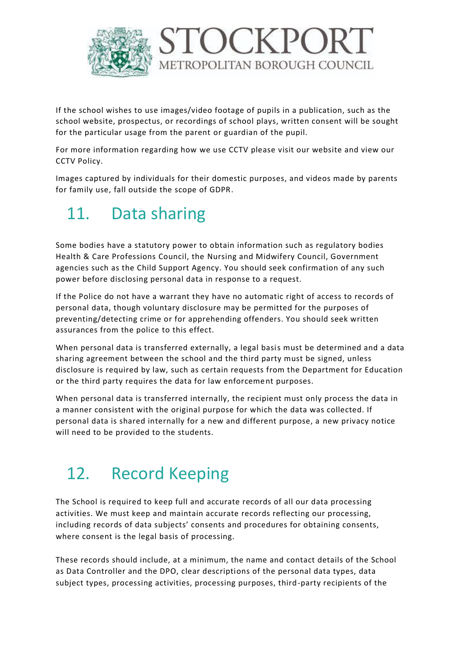

If the school wishes to use images/video footage of pupils in a publication, such as the school website, prospectus, or recordings of school plays, written consent will be sought for the particular usage from the parent or guardian of the pupil.

For more information regarding how we use CCTV please visit our website and view our CCTV Policy.

Images captured by individuals for their domestic purposes, and videos made by parents for family use, fall outside the scope of GDPR.

# <span id="page-13-0"></span>11. Data sharing

Some bodies have a statutory power to obtain information such as regulatory bodies Health & Care Professions Council, the Nursing and Midwifery Council, Government agencies such as the Child Support Agency. You should seek confirmation of any such power before disclosing personal data in response to a request.

If the Police do not have a warrant they have no automatic right of access to records of personal data, though voluntary disclosure may be permitted for the purposes of preventing/detecting crime or for apprehending offenders. You should seek written assurances from the police to this effect.

When personal data is transferred externally, a legal basis must be determined and a data sharing agreement between the school and the third party must be signed, unless disclosure is required by law, such as certain requests from the Department for Education or the third party requires the data for law enforcement purposes.

When personal data is transferred internally, the recipient must only process the data in a manner consistent with the original purpose for which the data was collected. If personal data is shared internally for a new and different purpose, a new privacy notice will need to be provided to the students.

# <span id="page-13-1"></span>12. Record Keeping

The School is required to keep full and accurate records of all our data processing activities. We must keep and maintain accurate records reflecting our processing, including records of data subjects' consents and procedures for obtaining consents, where consent is the legal basis of processing.

These records should include, at a minimum, the name and contact details of the School as Data Controller and the DPO, clear descriptions of the personal data types, data subject types, processing activities, processing purposes, third-party recipients of the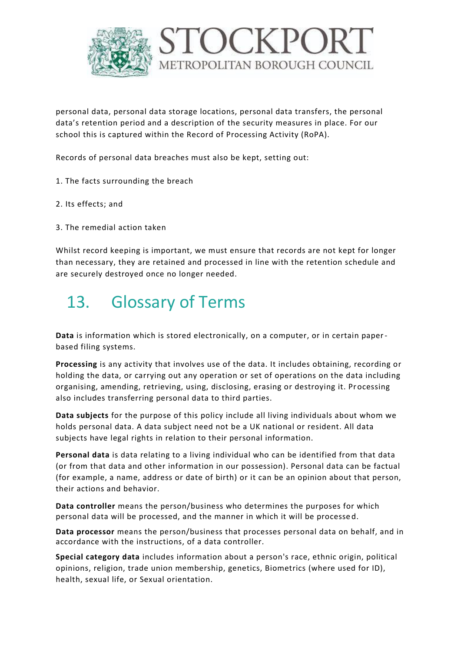

personal data, personal data storage locations, personal data transfers, the personal data's retention period and a description of the security measures in place. For our school this is captured within the Record of Processing Activity (RoPA).

Records of personal data breaches must also be kept, setting out:

- 1. The facts surrounding the breach
- 2. Its effects; and
- 3. The remedial action taken

Whilst record keeping is important, we must ensure that records are not kept for longer than necessary, they are retained and processed in line with the retention schedule and are securely destroyed once no longer needed.

# 13. Glossary of Terms

**Data** is information which is stored electronically, on a computer, or in certain paperbased filing systems.

**Processing** is any activity that involves use of the data. It includes obtaining, recording or holding the data, or carrying out any operation or set of operations on the data including organising, amending, retrieving, using, disclosing, erasing or destroying it. Processing also includes transferring personal data to third parties.

**Data subjects** for the purpose of this policy include all living individuals about whom we holds personal data. A data subject need not be a UK national or resident. All data subjects have legal rights in relation to their personal information.

**Personal data** is data relating to a living individual who can be identified from that data (or from that data and other information in our possession). Personal data can be factual (for example, a name, address or date of birth) or it can be an opinion about that person, their actions and behavior.

**Data controller** means the person/business who determines the purposes for which personal data will be processed, and the manner in which it will be processe d.

**Data processor** means the person/business that processes personal data on behalf, and in accordance with the instructions, of a data controller.

**Special category data** includes information about a person's race, ethnic origin, political opinions, religion, trade union membership, genetics, Biometrics (where used for ID), health, sexual life, or Sexual orientation.